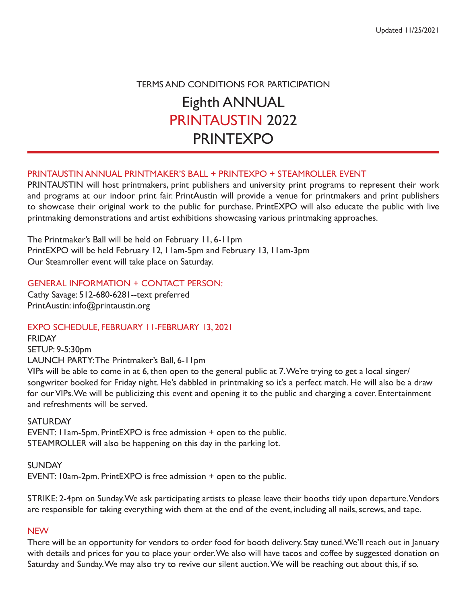TERMS AND CONDITIONS FOR PARTICIPATION Eighth ANNUAL PRINTAUSTIN 2022 PRINTEXPO

## PRINTAUSTIN ANNUAL PRINTMAKER'S BALL + PRINTEXPO + STEAMROLLER EVENT

PRINTAUSTIN will host printmakers, print publishers and university print programs to represent their work and programs at our indoor print fair. PrintAustin will provide a venue for printmakers and print publishers to showcase their original work to the public for purchase. PrintEXPO will also educate the public with live printmaking demonstrations and artist exhibitions showcasing various printmaking approaches.

The Printmaker's Ball will be held on February 11, 6-11pm PrintEXPO will be held February 12, 11am-5pm and February 13, 11am-3pm Our Steamroller event will take place on Saturday.

### GENERAL INFORMATION + CONTACT PERSON:

Cathy Savage: 512-680-6281--text preferred PrintAustin: info@printaustin.org

EXPO SCHEDULE, FEBRUARY 11-FEBRUARY 13, 2021

FRIDAY SETUP: 9-5:30pm LAUNCH PARTY: The Printmaker's Ball, 6-11pm

VIPs will be able to come in at 6, then open to the general public at 7. We're trying to get a local singer/ songwriter booked for Friday night. He's dabbled in printmaking so it's a perfect match. He will also be a draw for our VIPs. We will be publicizing this event and opening it to the public and charging a cover. Entertainment and refreshments will be served.

#### **SATURDAY**

EVENT: 11am-5pm. PrintEXPO is free admission + open to the public. STEAMROLLER will also be happening on this day in the parking lot.

SUNDAY EVENT: 10am-2pm. PrintEXPO is free admission + open to the public.

STRIKE: 2-4pm on Sunday. We ask participating artists to please leave their booths tidy upon departure. Vendors are responsible for taking everything with them at the end of the event, including all nails, screws, and tape.

#### **NEW**

There will be an opportunity for vendors to order food for booth delivery. Stay tuned. We'll reach out in January with details and prices for you to place your order. We also will have tacos and coffee by suggested donation on Saturday and Sunday. We may also try to revive our silent auction. We will be reaching out about this, if so.